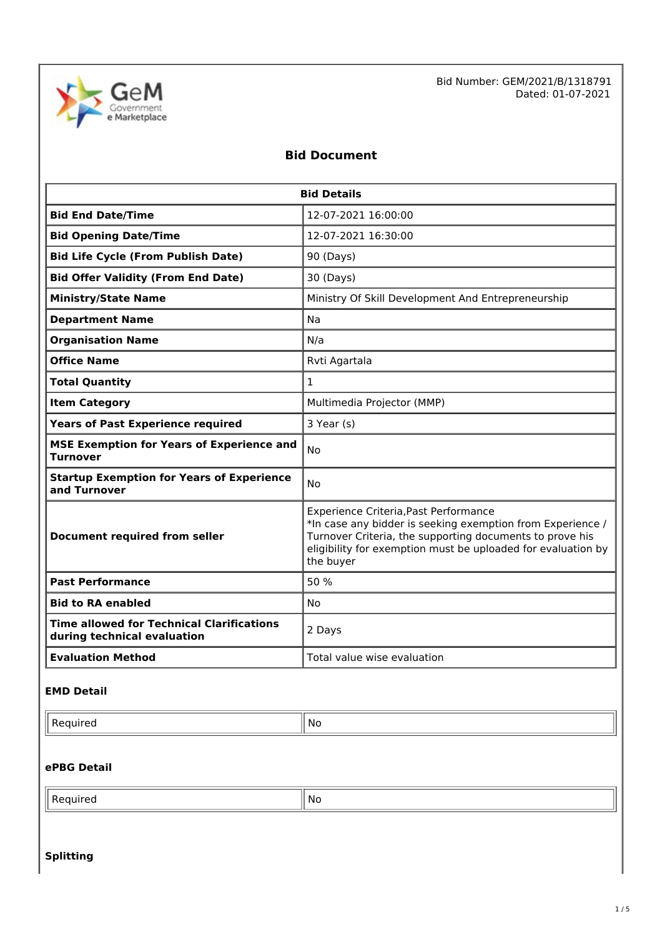

Bid Number: GEM/2021/B/1318791 Dated: 01-07-2021

## **Bid Document**

| <b>Bid Details</b>                                                              |                                                                                                                                                                                                                                              |  |  |
|---------------------------------------------------------------------------------|----------------------------------------------------------------------------------------------------------------------------------------------------------------------------------------------------------------------------------------------|--|--|
| <b>Bid End Date/Time</b>                                                        | 12-07-2021 16:00:00                                                                                                                                                                                                                          |  |  |
| <b>Bid Opening Date/Time</b>                                                    | 12-07-2021 16:30:00                                                                                                                                                                                                                          |  |  |
| <b>Bid Life Cycle (From Publish Date)</b>                                       | 90 (Days)                                                                                                                                                                                                                                    |  |  |
| <b>Bid Offer Validity (From End Date)</b>                                       | 30 (Days)                                                                                                                                                                                                                                    |  |  |
| <b>Ministry/State Name</b>                                                      | Ministry Of Skill Development And Entrepreneurship                                                                                                                                                                                           |  |  |
| <b>Department Name</b>                                                          | Na                                                                                                                                                                                                                                           |  |  |
| <b>Organisation Name</b>                                                        | N/a                                                                                                                                                                                                                                          |  |  |
| <b>Office Name</b>                                                              | Rvti Agartala                                                                                                                                                                                                                                |  |  |
| <b>Total Quantity</b>                                                           | $\mathbf{1}$                                                                                                                                                                                                                                 |  |  |
| <b>Item Category</b>                                                            | Multimedia Projector (MMP)                                                                                                                                                                                                                   |  |  |
| <b>Years of Past Experience required</b>                                        | 3 Year (s)                                                                                                                                                                                                                                   |  |  |
| <b>MSE Exemption for Years of Experience and</b><br><b>Turnover</b>             | <b>No</b>                                                                                                                                                                                                                                    |  |  |
| <b>Startup Exemption for Years of Experience</b><br>and Turnover                | Nο                                                                                                                                                                                                                                           |  |  |
| <b>Document required from seller</b>                                            | Experience Criteria, Past Performance<br>*In case any bidder is seeking exemption from Experience /<br>Turnover Criteria, the supporting documents to prove his<br>eligibility for exemption must be uploaded for evaluation by<br>the buyer |  |  |
| <b>Past Performance</b>                                                         | 50 %                                                                                                                                                                                                                                         |  |  |
| <b>Bid to RA enabled</b>                                                        | No                                                                                                                                                                                                                                           |  |  |
| <b>Time allowed for Technical Clarifications</b><br>during technical evaluation | 2 Days                                                                                                                                                                                                                                       |  |  |
| <b>Evaluation Method</b>                                                        | Total value wise evaluation                                                                                                                                                                                                                  |  |  |

## **EMD Detail**

 $\mathsf{Required}$   $\|\mathsf{No}\|$ 

## **ePBG Detail**

| -<br>NI.<br>____<br>__ |  |  |
|------------------------|--|--|
|------------------------|--|--|

### **Splitting**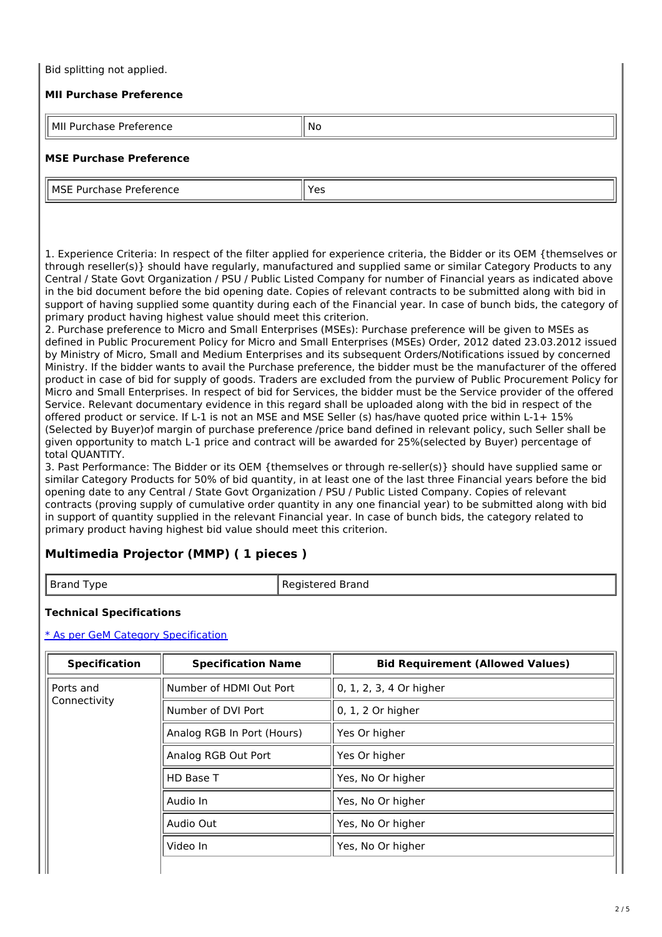## Bid splitting not applied.

## **MII Purchase Preference**

| MI<br>---<br>10<br>7 I I<br>l I c<br>$-$<br>. | <b>NO</b> |
|-----------------------------------------------|-----------|

## **MSE Purchase Preference**

| MS<br>л.<br>−<br>Se.<br>$\overline{\phantom{a}}$<br>. | ، ص<br>. د |
|-------------------------------------------------------|------------|
|                                                       |            |

1. Experience Criteria: In respect of the filter applied for experience criteria, the Bidder or its OEM {themselves or through reseller(s)} should have regularly, manufactured and supplied same or similar Category Products to any Central / State Govt Organization / PSU / Public Listed Company for number of Financial years as indicated above in the bid document before the bid opening date. Copies of relevant contracts to be submitted along with bid in support of having supplied some quantity during each of the Financial year. In case of bunch bids, the category of primary product having highest value should meet this criterion.

2. Purchase preference to Micro and Small Enterprises (MSEs): Purchase preference will be given to MSEs as defined in Public Procurement Policy for Micro and Small Enterprises (MSEs) Order, 2012 dated 23.03.2012 issued by Ministry of Micro, Small and Medium Enterprises and its subsequent Orders/Notifications issued by concerned Ministry. If the bidder wants to avail the Purchase preference, the bidder must be the manufacturer of the offered product in case of bid for supply of goods. Traders are excluded from the purview of Public Procurement Policy for Micro and Small Enterprises. In respect of bid for Services, the bidder must be the Service provider of the offered Service. Relevant documentary evidence in this regard shall be uploaded along with the bid in respect of the offered product or service. If L-1 is not an MSE and MSE Seller (s) has/have quoted price within L-1+ 15% (Selected by Buyer)of margin of purchase preference /price band defined in relevant policy, such Seller shall be given opportunity to match L-1 price and contract will be awarded for 25%(selected by Buyer) percentage of total QUANTITY.

3. Past Performance: The Bidder or its OEM {themselves or through re-seller(s)} should have supplied same or similar Category Products for 50% of bid quantity, in at least one of the last three Financial years before the bid opening date to any Central / State Govt Organization / PSU / Public Listed Company. Copies of relevant contracts (proving supply of cumulative order quantity in any one financial year) to be submitted along with bid in support of quantity supplied in the relevant Financial year. In case of bunch bids, the category related to primary product having highest bid value should meet this criterion.

## **Multimedia Projector (MMP) ( 1 pieces )**

| Registered Brand<br>I ype<br>Brand |  |  |
|------------------------------------|--|--|
|------------------------------------|--|--|

## **Technical Specifications**

#### \* As per GeM Category [Specification](https://bidplus.gem.gov.in/bidding/bid/showCatalogue/gI_S2M9TWRm6zbxas3RQz_K0vRuE55YBc1_82E1c6LE)

| <b>Specification</b> | <b>Specification Name</b>  | <b>Bid Requirement (Allowed Values)</b> |  |
|----------------------|----------------------------|-----------------------------------------|--|
| Ports and            | Number of HDMI Out Port    | 0, 1, 2, 3, 4 Or higher                 |  |
| Connectivity         | Number of DVI Port         | 0, 1, 2 Or higher                       |  |
|                      | Analog RGB In Port (Hours) | Yes Or higher                           |  |
|                      | Analog RGB Out Port        | Yes Or higher                           |  |
|                      | HD Base T                  | Yes, No Or higher                       |  |
| Audio In             |                            | Yes, No Or higher                       |  |
|                      | Audio Out                  | Yes, No Or higher                       |  |
|                      | Video In                   | Yes, No Or higher                       |  |
|                      |                            |                                         |  |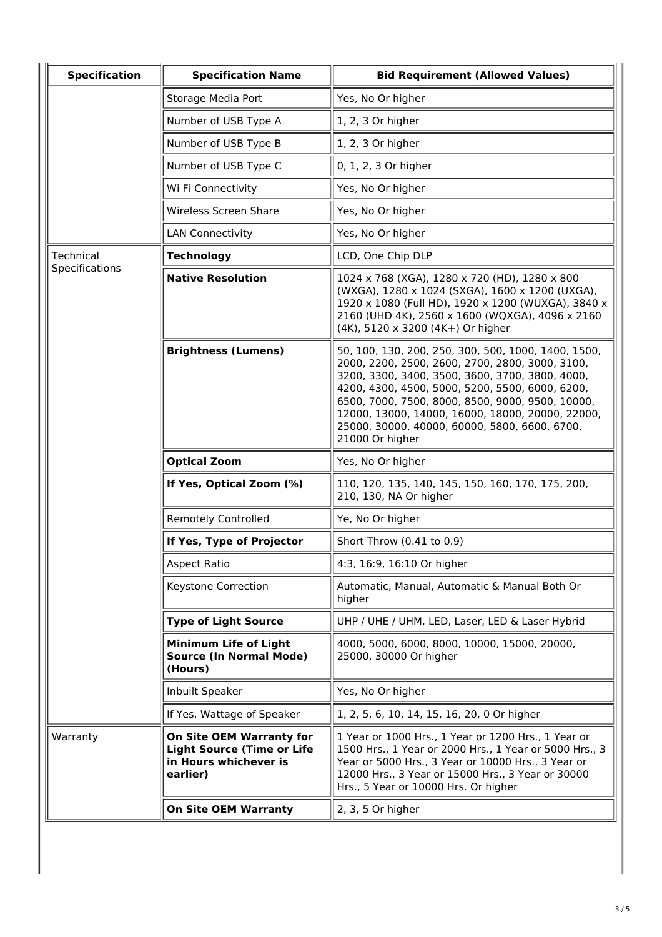| <b>Specification</b>                            | <b>Specification Name</b>                                                                                 | <b>Bid Requirement (Allowed Values)</b>                                                                                                                                                                                                                                                                                                                                                  |  |  |
|-------------------------------------------------|-----------------------------------------------------------------------------------------------------------|------------------------------------------------------------------------------------------------------------------------------------------------------------------------------------------------------------------------------------------------------------------------------------------------------------------------------------------------------------------------------------------|--|--|
|                                                 | Storage Media Port                                                                                        | Yes, No Or higher                                                                                                                                                                                                                                                                                                                                                                        |  |  |
|                                                 | Number of USB Type A                                                                                      | 1, 2, 3 Or higher                                                                                                                                                                                                                                                                                                                                                                        |  |  |
|                                                 | Number of USB Type B                                                                                      | 1, 2, 3 Or higher                                                                                                                                                                                                                                                                                                                                                                        |  |  |
|                                                 | Number of USB Type C                                                                                      | 0, 1, 2, 3 Or higher                                                                                                                                                                                                                                                                                                                                                                     |  |  |
|                                                 | Wi Fi Connectivity                                                                                        | Yes, No Or higher                                                                                                                                                                                                                                                                                                                                                                        |  |  |
|                                                 | <b>Wireless Screen Share</b>                                                                              | Yes, No Or higher                                                                                                                                                                                                                                                                                                                                                                        |  |  |
|                                                 | <b>LAN Connectivity</b>                                                                                   | Yes, No Or higher                                                                                                                                                                                                                                                                                                                                                                        |  |  |
| Technical                                       | <b>Technology</b>                                                                                         | LCD, One Chip DLP                                                                                                                                                                                                                                                                                                                                                                        |  |  |
| Specifications                                  | <b>Native Resolution</b>                                                                                  | 1024 x 768 (XGA), 1280 x 720 (HD), 1280 x 800<br>(WXGA), 1280 x 1024 (SXGA), 1600 x 1200 (UXGA),<br>1920 x 1080 (Full HD), 1920 x 1200 (WUXGA), 3840 x<br>2160 (UHD 4K), 2560 x 1600 (WQXGA), 4096 x 2160<br>(4K), 5120 x 3200 (4K+) Or higher                                                                                                                                           |  |  |
|                                                 | <b>Brightness (Lumens)</b>                                                                                | 50, 100, 130, 200, 250, 300, 500, 1000, 1400, 1500,<br>2000, 2200, 2500, 2600, 2700, 2800, 3000, 3100,<br>3200, 3300, 3400, 3500, 3600, 3700, 3800, 4000,<br>4200, 4300, 4500, 5000, 5200, 5500, 6000, 6200,<br>6500, 7000, 7500, 8000, 8500, 9000, 9500, 10000,<br>12000, 13000, 14000, 16000, 18000, 20000, 22000,<br>25000, 30000, 40000, 60000, 5800, 6600, 6700,<br>21000 Or higher |  |  |
| <b>Optical Zoom</b><br>If Yes, Optical Zoom (%) |                                                                                                           | Yes, No Or higher                                                                                                                                                                                                                                                                                                                                                                        |  |  |
|                                                 |                                                                                                           | 110, 120, 135, 140, 145, 150, 160, 170, 175, 200,<br>210, 130, NA Or higher                                                                                                                                                                                                                                                                                                              |  |  |
|                                                 | <b>Remotely Controlled</b>                                                                                | Ye, No Or higher                                                                                                                                                                                                                                                                                                                                                                         |  |  |
|                                                 | If Yes, Type of Projector                                                                                 | Short Throw (0.41 to 0.9)                                                                                                                                                                                                                                                                                                                                                                |  |  |
|                                                 | <b>Aspect Ratio</b>                                                                                       | 4:3, 16:9, 16:10 Or higher                                                                                                                                                                                                                                                                                                                                                               |  |  |
|                                                 | Keystone Correction                                                                                       | Automatic, Manual, Automatic & Manual Both Or<br>higher                                                                                                                                                                                                                                                                                                                                  |  |  |
|                                                 | <b>Type of Light Source</b>                                                                               | UHP / UHE / UHM, LED, Laser, LED & Laser Hybrid                                                                                                                                                                                                                                                                                                                                          |  |  |
|                                                 | Minimum Life of Light<br><b>Source (In Normal Mode)</b><br>(Hours)                                        | 4000, 5000, 6000, 8000, 10000, 15000, 20000,<br>25000, 30000 Or higher                                                                                                                                                                                                                                                                                                                   |  |  |
|                                                 | Inbuilt Speaker                                                                                           | Yes, No Or higher                                                                                                                                                                                                                                                                                                                                                                        |  |  |
|                                                 | If Yes, Wattage of Speaker                                                                                | 1, 2, 5, 6, 10, 14, 15, 16, 20, 0 Or higher                                                                                                                                                                                                                                                                                                                                              |  |  |
| Warranty                                        | <b>On Site OEM Warranty for</b><br><b>Light Source (Time or Life</b><br>in Hours whichever is<br>earlier) | 1 Year or 1000 Hrs., 1 Year or 1200 Hrs., 1 Year or<br>1500 Hrs., 1 Year or 2000 Hrs., 1 Year or 5000 Hrs., 3<br>Year or 5000 Hrs., 3 Year or 10000 Hrs., 3 Year or<br>12000 Hrs., 3 Year or 15000 Hrs., 3 Year or 30000<br>Hrs., 5 Year or 10000 Hrs. Or higher                                                                                                                         |  |  |
|                                                 | <b>On Site OEM Warranty</b>                                                                               | 2, 3, 5 Or higher                                                                                                                                                                                                                                                                                                                                                                        |  |  |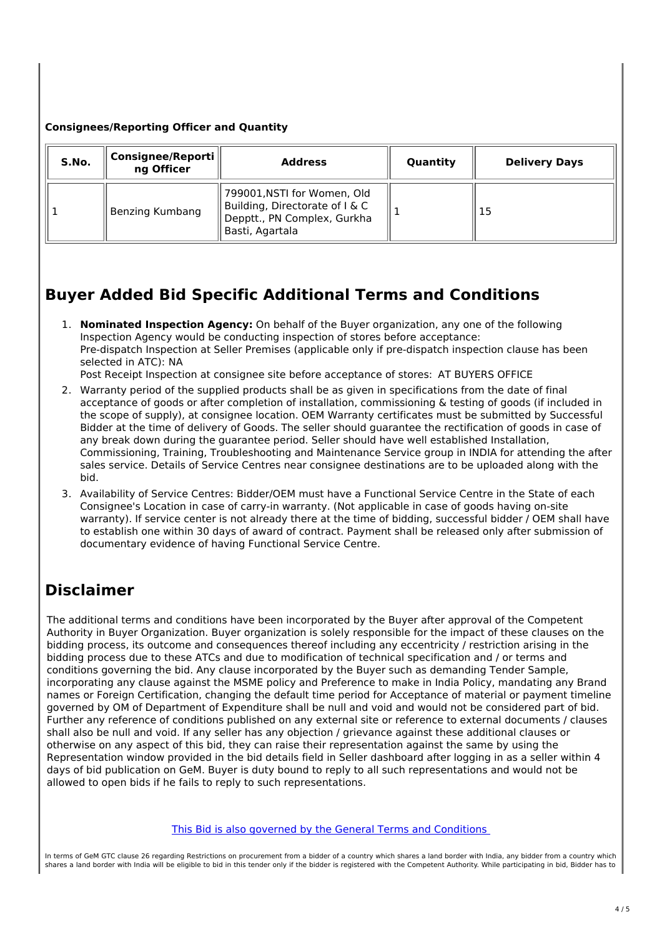## **Consignees/Reporting Officer and Quantity**

| S.No. | Consignee/Reporti   <br>ng Officer | <b>Address</b>                                                                                                 | Quantity | <b>Delivery Days</b> |
|-------|------------------------------------|----------------------------------------------------------------------------------------------------------------|----------|----------------------|
|       | Benzing Kumbang                    | 799001,NSTI for Women, Old<br>Building, Directorate of I & C<br>Depptt., PN Complex, Gurkha<br>Basti, Agartala |          | 15                   |

# **Buyer Added Bid Specific Additional Terms and Conditions**

1. **Nominated Inspection Agency:** On behalf of the Buyer organization, any one of the following Inspection Agency would be conducting inspection of stores before acceptance: Pre-dispatch Inspection at Seller Premises (applicable only if pre-dispatch inspection clause has been selected in ATC): NA

Post Receipt Inspection at consignee site before acceptance of stores: AT BUYERS OFFICE

- 2. Warranty period of the supplied products shall be as given in specifications from the date of final acceptance of goods or after completion of installation, commissioning & testing of goods (if included in the scope of supply), at consignee location. OEM Warranty certificates must be submitted by Successful Bidder at the time of delivery of Goods. The seller should guarantee the rectification of goods in case of any break down during the guarantee period. Seller should have well established Installation, Commissioning, Training, Troubleshooting and Maintenance Service group in INDIA for attending the after sales service. Details of Service Centres near consignee destinations are to be uploaded along with the bid.
- 3. Availability of Service Centres: Bidder/OEM must have a Functional Service Centre in the State of each Consignee's Location in case of carry-in warranty. (Not applicable in case of goods having on-site warranty). If service center is not already there at the time of bidding, successful bidder / OEM shall have to establish one within 30 days of award of contract. Payment shall be released only after submission of documentary evidence of having Functional Service Centre.

## **Disclaimer**

The additional terms and conditions have been incorporated by the Buyer after approval of the Competent Authority in Buyer Organization. Buyer organization is solely responsible for the impact of these clauses on the bidding process, its outcome and consequences thereof including any eccentricity / restriction arising in the bidding process due to these ATCs and due to modification of technical specification and / or terms and conditions governing the bid. Any clause incorporated by the Buyer such as demanding Tender Sample, incorporating any clause against the MSME policy and Preference to make in India Policy, mandating any Brand names or Foreign Certification, changing the default time period for Acceptance of material or payment timeline governed by OM of Department of Expenditure shall be null and void and would not be considered part of bid. Further any reference of conditions published on any external site or reference to external documents / clauses shall also be null and void. If any seller has any objection / grievance against these additional clauses or otherwise on any aspect of this bid, they can raise their representation against the same by using the Representation window provided in the bid details field in Seller dashboard after logging in as a seller within 4 days of bid publication on GeM. Buyer is duty bound to reply to all such representations and would not be allowed to open bids if he fails to reply to such representations.

In terms of GeM GTC clause 26 regarding Restrictions on procurement from a bidder of a country which shares a land border with India, any bidder from a country which shares a land border with India will be eligible to bid in this tender only if the bidder is registered with the Competent Authority. While participating in bid, Bidder has to